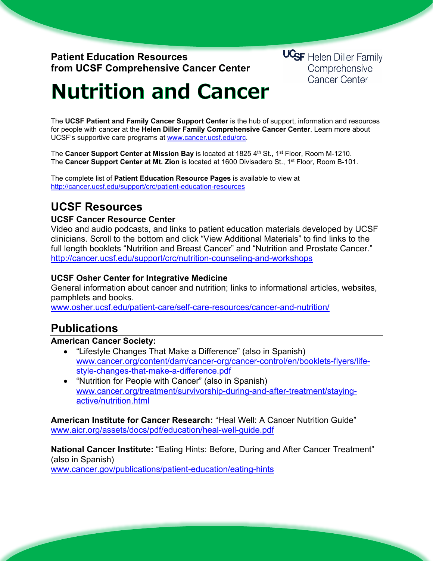## **Patient Education Resources from UCSF Comprehensive Cancer Center**

**UCSF** Helen Diller Family Comprehensive **Cancer Center** 

# **Nutrition and Cancer**

The **UCSF Patient and Family Cancer Support Center** is the hub of support, information and resources for people with cancer at the **Helen Diller Family Comprehensive Cancer Center**. Learn more about UCSF's supportive care programs at [www.cancer.ucsf.edu/crc.](http://www.cancer.ucsf.edu/crc)

The **Cancer Support Center at Mission Bay** is located at 1825 4th St., 1<sup>st</sup> Floor, Room M-1210. The **Cancer Support Center at Mt. Zion** is located at 1600 Divisadero St., 1st Floor, Room B-101.

The complete list of **Patient Education Resource Pages** is available to view at <http://cancer.ucsf.edu/support/crc/patient-education-resources>

# **UCSF Resources**

## **UCSF Cancer Resource Center**

Video and audio podcasts, and links to patient education materials developed by UCSF clinicians. Scroll to the bottom and click "View Additional Materials" to find links to the full length booklets "Nutrition and Breast Cancer" and "Nutrition and Prostate Cancer." <http://cancer.ucsf.edu/support/crc/nutrition-counseling-and-workshops>

## **UCSF Osher Center for Integrative Medicine**

General information about cancer and nutrition; links to informational articles, websites, pamphlets and books.

[www.osher.ucsf.edu/patient-care/self-care-resources/cancer-and-nutrition/](http://www.osher.ucsf.edu/patient-care/self-care-resources/cancer-and-nutrition/)

## **Publications**

## **American Cancer Society:**

- "Lifestyle Changes That Make a Difference" (also in Spanish) [www.cancer.org/content/dam/cancer-org/cancer-control/en/booklets-flyers/life](http://www.cancer.org/content/dam/cancer-org/cancer-control/en/booklets-flyers/life-style-changes-that-make-a-difference.pdf)[style-changes-that-make-a-difference.pdf](http://www.cancer.org/content/dam/cancer-org/cancer-control/en/booklets-flyers/life-style-changes-that-make-a-difference.pdf)
- "Nutrition for People with Cancer" (also in Spanish) [www.cancer.org/treatment/survivorship-during-and-after-treatment/staying](http://www.cancer.org/treatment/survivorship-during-and-after-treatment/staying-active/nutrition.html)[active/nutrition.html](http://www.cancer.org/treatment/survivorship-during-and-after-treatment/staying-active/nutrition.html)

**American Institute for Cancer Research:** "Heal Well: A Cancer Nutrition Guide" [www.aicr.org/assets/docs/pdf/education/heal-well-guide.pdf](http://www.aicr.org/assets/docs/pdf/education/heal-well-guide.pdf)

**National Cancer Institute:** "Eating Hints: Before, During and After Cancer Treatment" (also in Spanish) [www.cancer.gov/publications/patient-education/eating-hints](http://www.cancer.gov/publications/patient-education/eating-hints)